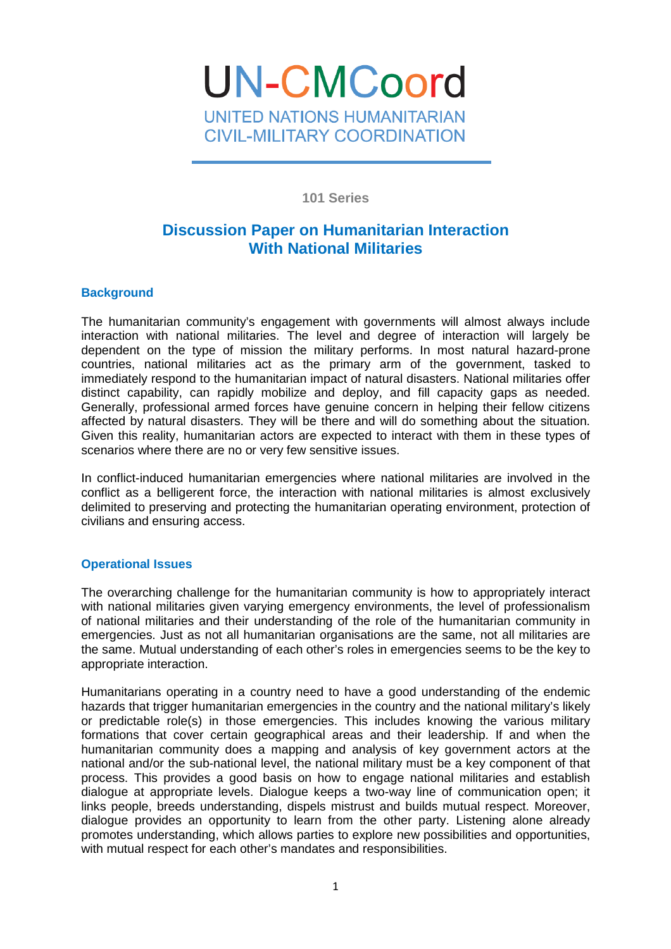**UN-CMCoord** UNITED NATIONS HUMANITARIAN **CIVIL-MILITARY COORDINATION** 

**101 Series** 

# **Discussion Paper on Humanitarian Interaction With National Militaries**

## **Background**

The humanitarian community's engagement with governments will almost always include interaction with national militaries. The level and degree of interaction will largely be dependent on the type of mission the military performs. In most natural hazard-prone countries, national militaries act as the primary arm of the government, tasked to immediately respond to the humanitarian impact of natural disasters. National militaries offer distinct capability, can rapidly mobilize and deploy, and fill capacity gaps as needed. Generally, professional armed forces have genuine concern in helping their fellow citizens affected by natural disasters. They will be there and will do something about the situation. Given this reality, humanitarian actors are expected to interact with them in these types of scenarios where there are no or very few sensitive issues.

In conflict-induced humanitarian emergencies where national militaries are involved in the conflict as a belligerent force, the interaction with national militaries is almost exclusively delimited to preserving and protecting the humanitarian operating environment, protection of civilians and ensuring access.

## **Operational Issues**

The overarching challenge for the humanitarian community is how to appropriately interact with national militaries given varying emergency environments, the level of professionalism of national militaries and their understanding of the role of the humanitarian community in emergencies. Just as not all humanitarian organisations are the same, not all militaries are the same. Mutual understanding of each other's roles in emergencies seems to be the key to appropriate interaction.

Humanitarians operating in a country need to have a good understanding of the endemic hazards that trigger humanitarian emergencies in the country and the national military's likely or predictable role(s) in those emergencies. This includes knowing the various military formations that cover certain geographical areas and their leadership. If and when the humanitarian community does a mapping and analysis of key government actors at the national and/or the sub-national level, the national military must be a key component of that process. This provides a good basis on how to engage national militaries and establish dialogue at appropriate levels. Dialogue keeps a two-way line of communication open; it links people, breeds understanding, dispels mistrust and builds mutual respect. Moreover, dialogue provides an opportunity to learn from the other party. Listening alone already promotes understanding, which allows parties to explore new possibilities and opportunities, with mutual respect for each other's mandates and responsibilities.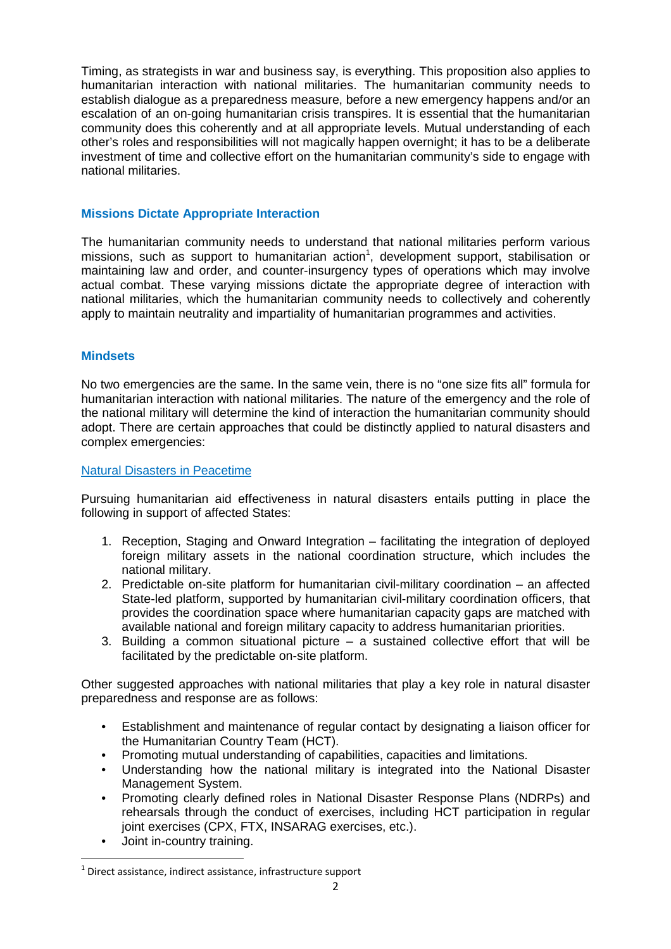Timing, as strategists in war and business say, is everything. This proposition also applies to humanitarian interaction with national militaries. The humanitarian community needs to establish dialogue as a preparedness measure, before a new emergency happens and/or an escalation of an on-going humanitarian crisis transpires. It is essential that the humanitarian community does this coherently and at all appropriate levels. Mutual understanding of each other's roles and responsibilities will not magically happen overnight; it has to be a deliberate investment of time and collective effort on the humanitarian community's side to engage with national militaries.

#### **Missions Dictate Appropriate Interaction**

The humanitarian community needs to understand that national militaries perform various missions, such as support to humanitarian action<sup>1</sup>, development support, stabilisation or maintaining law and order, and counter-insurgency types of operations which may involve actual combat. These varying missions dictate the appropriate degree of interaction with national militaries, which the humanitarian community needs to collectively and coherently apply to maintain neutrality and impartiality of humanitarian programmes and activities.

#### **Mindsets**

No two emergencies are the same. In the same vein, there is no "one size fits all" formula for humanitarian interaction with national militaries. The nature of the emergency and the role of the national military will determine the kind of interaction the humanitarian community should adopt. There are certain approaches that could be distinctly applied to natural disasters and complex emergencies:

#### Natural Disasters in Peacetime

Pursuing humanitarian aid effectiveness in natural disasters entails putting in place the following in support of affected States:

- 1. Reception, Staging and Onward Integration facilitating the integration of deployed foreign military assets in the national coordination structure, which includes the national military.
- 2. Predictable on-site platform for humanitarian civil-military coordination an affected State-led platform, supported by humanitarian civil-military coordination officers, that provides the coordination space where humanitarian capacity gaps are matched with available national and foreign military capacity to address humanitarian priorities.
- 3. Building a common situational picture a sustained collective effort that will be facilitated by the predictable on-site platform.

Other suggested approaches with national militaries that play a key role in natural disaster preparedness and response are as follows:

- Establishment and maintenance of regular contact by designating a liaison officer for the Humanitarian Country Team (HCT).
- Promoting mutual understanding of capabilities, capacities and limitations.
- Understanding how the national military is integrated into the National Disaster Management System.
- Promoting clearly defined roles in National Disaster Response Plans (NDRPs) and rehearsals through the conduct of exercises, including HCT participation in regular joint exercises (CPX, FTX, INSARAG exercises, etc.).
- Joint in-country training.

 $\overline{a}$ 

 $1$  Direct assistance, indirect assistance, infrastructure support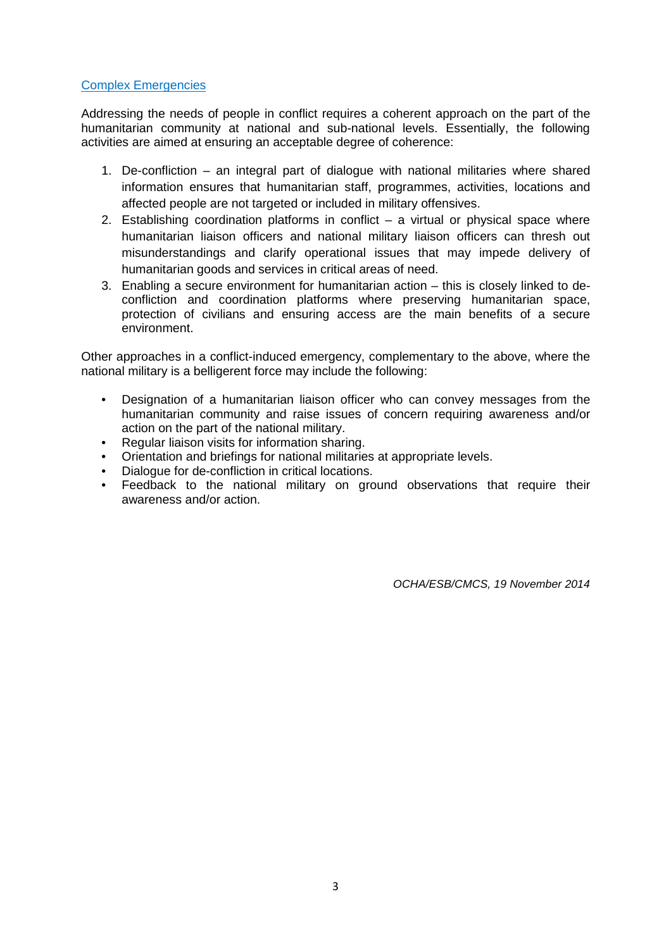#### Complex Emergencies

Addressing the needs of people in conflict requires a coherent approach on the part of the humanitarian community at national and sub-national levels. Essentially, the following activities are aimed at ensuring an acceptable degree of coherence:

- 1. De-confliction an integral part of dialogue with national militaries where shared information ensures that humanitarian staff, programmes, activities, locations and affected people are not targeted or included in military offensives.
- 2. Establishing coordination platforms in conflict a virtual or physical space where humanitarian liaison officers and national military liaison officers can thresh out misunderstandings and clarify operational issues that may impede delivery of humanitarian goods and services in critical areas of need.
- 3. Enabling a secure environment for humanitarian action this is closely linked to deconfliction and coordination platforms where preserving humanitarian space, protection of civilians and ensuring access are the main benefits of a secure environment.

Other approaches in a conflict-induced emergency, complementary to the above, where the national military is a belligerent force may include the following:

- Designation of a humanitarian liaison officer who can convey messages from the humanitarian community and raise issues of concern requiring awareness and/or action on the part of the national military.
- Regular liaison visits for information sharing.
- Orientation and briefings for national militaries at appropriate levels.
- Dialogue for de-confliction in critical locations.
- Feedback to the national military on ground observations that require their awareness and/or action.

OCHA/ESB/CMCS, 19 November 2014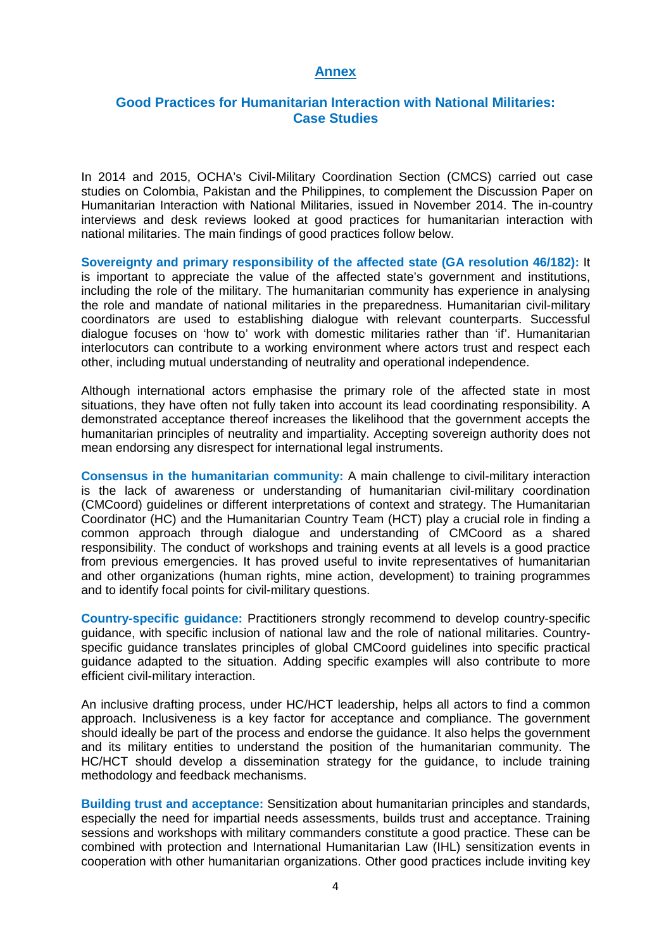#### **Annex**

## **Good Practices for Humanitarian Interaction with National Militaries: Case Studies**

In 2014 and 2015, OCHA's Civil-Military Coordination Section (CMCS) carried out case studies on Colombia, Pakistan and the Philippines, to complement the Discussion Paper on Humanitarian Interaction with National Militaries, issued in November 2014. The in-country interviews and desk reviews looked at good practices for humanitarian interaction with national militaries. The main findings of good practices follow below.

**Sovereignty and primary responsibility of the affected state (GA resolution 46/182):** It is important to appreciate the value of the affected state's government and institutions, including the role of the military. The humanitarian community has experience in analysing the role and mandate of national militaries in the preparedness. Humanitarian civil-military coordinators are used to establishing dialogue with relevant counterparts. Successful dialogue focuses on 'how to' work with domestic militaries rather than 'if'. Humanitarian interlocutors can contribute to a working environment where actors trust and respect each other, including mutual understanding of neutrality and operational independence.

Although international actors emphasise the primary role of the affected state in most situations, they have often not fully taken into account its lead coordinating responsibility. A demonstrated acceptance thereof increases the likelihood that the government accepts the humanitarian principles of neutrality and impartiality. Accepting sovereign authority does not mean endorsing any disrespect for international legal instruments.

**Consensus in the humanitarian community:** A main challenge to civil-military interaction is the lack of awareness or understanding of humanitarian civil-military coordination (CMCoord) guidelines or different interpretations of context and strategy. The Humanitarian Coordinator (HC) and the Humanitarian Country Team (HCT) play a crucial role in finding a common approach through dialogue and understanding of CMCoord as a shared responsibility. The conduct of workshops and training events at all levels is a good practice from previous emergencies. It has proved useful to invite representatives of humanitarian and other organizations (human rights, mine action, development) to training programmes and to identify focal points for civil-military questions.

**Country-specific guidance:** Practitioners strongly recommend to develop country-specific guidance, with specific inclusion of national law and the role of national militaries. Countryspecific guidance translates principles of global CMCoord guidelines into specific practical guidance adapted to the situation. Adding specific examples will also contribute to more efficient civil-military interaction.

An inclusive drafting process, under HC/HCT leadership, helps all actors to find a common approach. Inclusiveness is a key factor for acceptance and compliance. The government should ideally be part of the process and endorse the guidance. It also helps the government and its military entities to understand the position of the humanitarian community. The HC/HCT should develop a dissemination strategy for the guidance, to include training methodology and feedback mechanisms.

**Building trust and acceptance:** Sensitization about humanitarian principles and standards, especially the need for impartial needs assessments, builds trust and acceptance. Training sessions and workshops with military commanders constitute a good practice. These can be combined with protection and International Humanitarian Law (IHL) sensitization events in cooperation with other humanitarian organizations. Other good practices include inviting key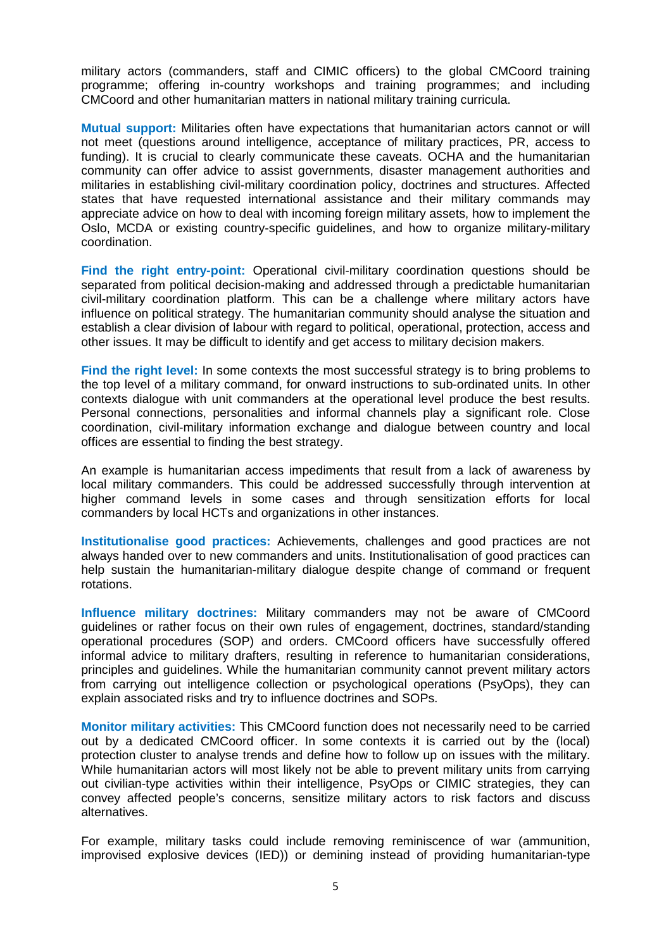military actors (commanders, staff and CIMIC officers) to the global CMCoord training programme; offering in-country workshops and training programmes; and including CMCoord and other humanitarian matters in national military training curricula.

**Mutual support:** Militaries often have expectations that humanitarian actors cannot or will not meet (questions around intelligence, acceptance of military practices, PR, access to funding). It is crucial to clearly communicate these caveats. OCHA and the humanitarian community can offer advice to assist governments, disaster management authorities and militaries in establishing civil-military coordination policy, doctrines and structures. Affected states that have requested international assistance and their military commands may appreciate advice on how to deal with incoming foreign military assets, how to implement the Oslo, MCDA or existing country-specific guidelines, and how to organize military-military coordination.

**Find the right entry-point:** Operational civil-military coordination questions should be separated from political decision-making and addressed through a predictable humanitarian civil-military coordination platform. This can be a challenge where military actors have influence on political strategy. The humanitarian community should analyse the situation and establish a clear division of labour with regard to political, operational, protection, access and other issues. It may be difficult to identify and get access to military decision makers.

**Find the right level:** In some contexts the most successful strategy is to bring problems to the top level of a military command, for onward instructions to sub-ordinated units. In other contexts dialogue with unit commanders at the operational level produce the best results. Personal connections, personalities and informal channels play a significant role. Close coordination, civil-military information exchange and dialogue between country and local offices are essential to finding the best strategy.

An example is humanitarian access impediments that result from a lack of awareness by local military commanders. This could be addressed successfully through intervention at higher command levels in some cases and through sensitization efforts for local commanders by local HCTs and organizations in other instances.

**Institutionalise good practices:** Achievements, challenges and good practices are not always handed over to new commanders and units. Institutionalisation of good practices can help sustain the humanitarian-military dialogue despite change of command or frequent rotations.

**Influence military doctrines:** Military commanders may not be aware of CMCoord guidelines or rather focus on their own rules of engagement, doctrines, standard/standing operational procedures (SOP) and orders. CMCoord officers have successfully offered informal advice to military drafters, resulting in reference to humanitarian considerations, principles and guidelines. While the humanitarian community cannot prevent military actors from carrying out intelligence collection or psychological operations (PsyOps), they can explain associated risks and try to influence doctrines and SOPs.

**Monitor military activities:** This CMCoord function does not necessarily need to be carried out by a dedicated CMCoord officer. In some contexts it is carried out by the (local) protection cluster to analyse trends and define how to follow up on issues with the military. While humanitarian actors will most likely not be able to prevent military units from carrying out civilian-type activities within their intelligence, PsyOps or CIMIC strategies, they can convey affected people's concerns, sensitize military actors to risk factors and discuss alternatives.

For example, military tasks could include removing reminiscence of war (ammunition, improvised explosive devices (IED)) or demining instead of providing humanitarian-type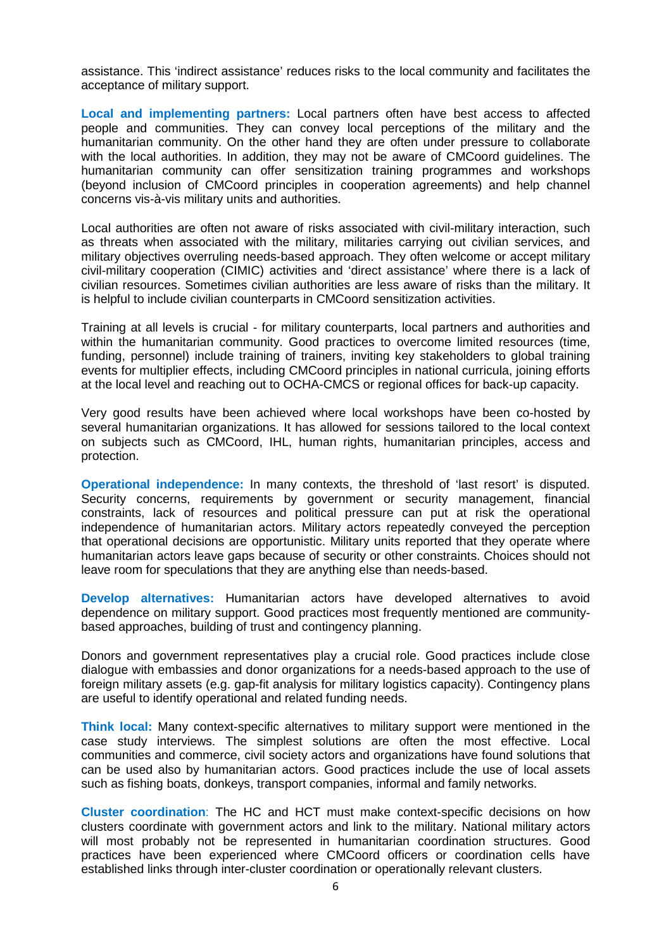assistance. This 'indirect assistance' reduces risks to the local community and facilitates the acceptance of military support.

**Local and implementing partners:** Local partners often have best access to affected people and communities. They can convey local perceptions of the military and the humanitarian community. On the other hand they are often under pressure to collaborate with the local authorities. In addition, they may not be aware of CMCoord guidelines. The humanitarian community can offer sensitization training programmes and workshops (beyond inclusion of CMCoord principles in cooperation agreements) and help channel concerns vis-à-vis military units and authorities.

Local authorities are often not aware of risks associated with civil-military interaction, such as threats when associated with the military, militaries carrying out civilian services, and military objectives overruling needs-based approach. They often welcome or accept military civil-military cooperation (CIMIC) activities and 'direct assistance' where there is a lack of civilian resources. Sometimes civilian authorities are less aware of risks than the military. It is helpful to include civilian counterparts in CMCoord sensitization activities.

Training at all levels is crucial - for military counterparts, local partners and authorities and within the humanitarian community. Good practices to overcome limited resources (time, funding, personnel) include training of trainers, inviting key stakeholders to global training events for multiplier effects, including CMCoord principles in national curricula, joining efforts at the local level and reaching out to OCHA-CMCS or regional offices for back-up capacity.

Very good results have been achieved where local workshops have been co-hosted by several humanitarian organizations. It has allowed for sessions tailored to the local context on subjects such as CMCoord, IHL, human rights, humanitarian principles, access and protection.

**Operational independence:** In many contexts, the threshold of 'last resort' is disputed. Security concerns, requirements by government or security management, financial constraints, lack of resources and political pressure can put at risk the operational independence of humanitarian actors. Military actors repeatedly conveyed the perception that operational decisions are opportunistic. Military units reported that they operate where humanitarian actors leave gaps because of security or other constraints. Choices should not leave room for speculations that they are anything else than needs-based.

**Develop alternatives:** Humanitarian actors have developed alternatives to avoid dependence on military support. Good practices most frequently mentioned are communitybased approaches, building of trust and contingency planning.

Donors and government representatives play a crucial role. Good practices include close dialogue with embassies and donor organizations for a needs-based approach to the use of foreign military assets (e.g. gap-fit analysis for military logistics capacity). Contingency plans are useful to identify operational and related funding needs.

**Think local:** Many context-specific alternatives to military support were mentioned in the case study interviews. The simplest solutions are often the most effective. Local communities and commerce, civil society actors and organizations have found solutions that can be used also by humanitarian actors. Good practices include the use of local assets such as fishing boats, donkeys, transport companies, informal and family networks.

**Cluster coordination**: The HC and HCT must make context-specific decisions on how clusters coordinate with government actors and link to the military. National military actors will most probably not be represented in humanitarian coordination structures. Good practices have been experienced where CMCoord officers or coordination cells have established links through inter-cluster coordination or operationally relevant clusters.